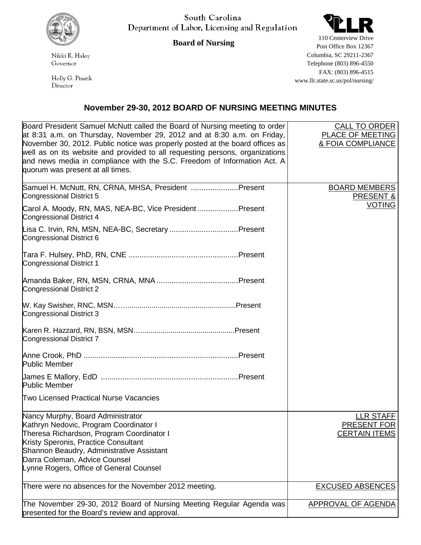

South Carolina Department of Labor, Licensing and Regulation

**Board of Nursing**

Nikki R. Haley Governor

Holly G. Pisarik Director



Post Office Box 12367 Columbia, SC 29211-2367 Telephone (803) 896-4550 FAX: (803) 896-4515 www.llr.state.sc.us/pol/nursing/

## **November 29-30, 2012 BOARD OF NURSING MEETING MINUTES**

| Board President Samuel McNutt called the Board of Nursing meeting to order   | <b>CALL TO ORDER</b>      |
|------------------------------------------------------------------------------|---------------------------|
| at 8:31 a.m. on Thursday, November 29, 2012 and at 8:30 a.m. on Friday,      | PLACE OF MEETING          |
| November 30, 2012. Public notice was properly posted at the board offices as | & FOIA COMPLIANCE         |
| well as on its website and provided to all requesting persons, organizations |                           |
| and news media in compliance with the S.C. Freedom of Information Act. A     |                           |
| quorum was present at all times.                                             |                           |
|                                                                              |                           |
| Samuel H. McNutt, RN, CRNA, MHSA, President Present                          | <b>BOARD MEMBERS</b>      |
| Congressional District 5                                                     | PRESENT &                 |
|                                                                              | <b>VOTING</b>             |
| Carol A. Moody, RN, MAS, NEA-BC, Vice PresidentPresent                       |                           |
| Congressional District 4                                                     |                           |
| Lisa C. Irvin, RN, MSN, NEA-BC, Secretary Present                            |                           |
| Congressional District 6                                                     |                           |
|                                                                              |                           |
|                                                                              |                           |
| <b>Congressional District 1</b>                                              |                           |
|                                                                              |                           |
|                                                                              |                           |
| Congressional District 2                                                     |                           |
|                                                                              |                           |
|                                                                              |                           |
| Congressional District 3                                                     |                           |
|                                                                              |                           |
|                                                                              |                           |
| Congressional District 7                                                     |                           |
|                                                                              |                           |
|                                                                              |                           |
| <b>Public Member</b>                                                         |                           |
|                                                                              |                           |
| <b>Public Member</b>                                                         |                           |
|                                                                              |                           |
| Two Licensed Practical Nurse Vacancies                                       |                           |
|                                                                              |                           |
| Nancy Murphy, Board Administrator                                            | LLR STAFF                 |
| Kathryn Nedovic, Program Coordinator I                                       | PRESENT FOR               |
| Theresa Richardson, Program Coordinator I                                    | <b>CERTAIN ITEMS</b>      |
| Kristy Speronis, Practice Consultant                                         |                           |
| Shannon Beaudry, Administrative Assistant                                    |                           |
| Darra Coleman, Advice Counsel                                                |                           |
| Lynne Rogers, Office of General Counsel                                      |                           |
|                                                                              |                           |
| There were no absences for the November 2012 meeting.                        | <b>EXCUSED ABSENCES</b>   |
|                                                                              |                           |
| The November 29-30, 2012 Board of Nursing Meeting Regular Agenda was         | <b>APPROVAL OF AGENDA</b> |
| presented for the Board's review and approval.                               |                           |
|                                                                              |                           |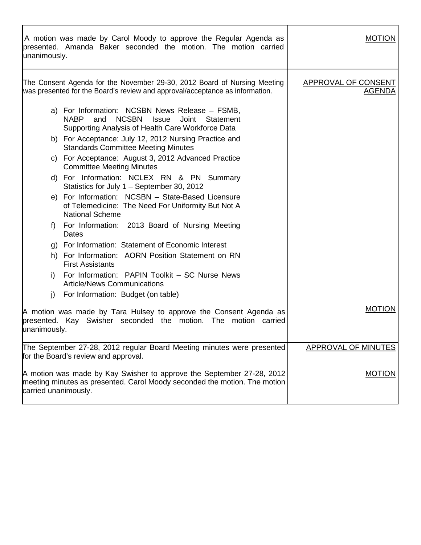| unanimously.         | A motion was made by Carol Moody to approve the Regular Agenda as<br>presented. Amanda Baker seconded the motion. The motion carried                                            | <b>MOTION</b>                        |
|----------------------|---------------------------------------------------------------------------------------------------------------------------------------------------------------------------------|--------------------------------------|
|                      | The Consent Agenda for the November 29-30, 2012 Board of Nursing Meeting<br>was presented for the Board's review and approval/acceptance as information.                        | <b>APPROVAL OF CONSENT</b><br>AGENDA |
|                      | a) For Information: NCSBN News Release - FSMB,<br><b>NCSBN</b><br><b>NABP</b><br>and<br><b>Issue</b><br>Joint<br>Statement<br>Supporting Analysis of Health Care Workforce Data |                                      |
|                      | b) For Acceptance: July 12, 2012 Nursing Practice and<br><b>Standards Committee Meeting Minutes</b>                                                                             |                                      |
|                      | c) For Acceptance: August 3, 2012 Advanced Practice<br><b>Committee Meeting Minutes</b>                                                                                         |                                      |
|                      | d) For Information: NCLEX RN & PN Summary<br>Statistics for July 1 – September 30, 2012                                                                                         |                                      |
|                      | e) For Information: NCSBN - State-Based Licensure<br>of Telemedicine: The Need For Uniformity But Not A<br><b>National Scheme</b>                                               |                                      |
| f)                   | For Information: 2013 Board of Nursing Meeting<br>Dates                                                                                                                         |                                      |
|                      | g) For Information: Statement of Economic Interest                                                                                                                              |                                      |
|                      | h) For Information: AORN Position Statement on RN<br><b>First Assistants</b>                                                                                                    |                                      |
| i)                   | For Information: PAPIN Toolkit - SC Nurse News<br><b>Article/News Communications</b>                                                                                            |                                      |
| j)                   | For Information: Budget (on table)                                                                                                                                              |                                      |
| unanimously.         | A motion was made by Tara Hulsey to approve the Consent Agenda as<br>presented. Kay Swisher seconded the motion. The motion carried                                             | <b>MOTION</b>                        |
|                      | The September 27-28, 2012 regular Board Meeting minutes were presented<br>for the Board's review and approval.                                                                  | APPROVAL OF MINUTES                  |
| carried unanimously. | A motion was made by Kay Swisher to approve the September 27-28, 2012<br>meeting minutes as presented. Carol Moody seconded the motion. The motion                              | <b>MOTION</b>                        |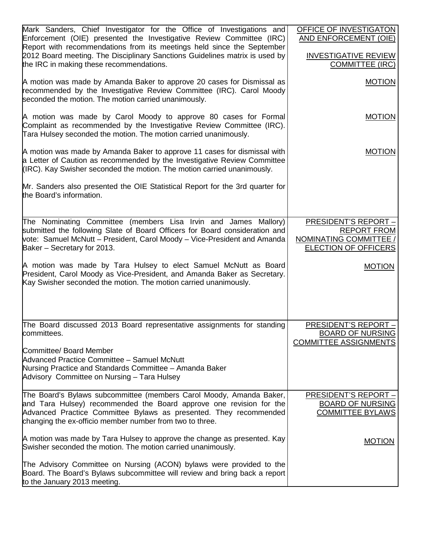| Mark Sanders, Chief Investigator for the Office of Investigations and<br>Enforcement (OIE) presented the Investigative Review Committee (IRC)<br>Report with recommendations from its meetings held since the September<br>2012 Board meeting. The Disciplinary Sanctions Guidelines matrix is used by<br>the IRC in making these recommendations. | OFFICE OF INVESTIGATON<br>AND ENFORCEMENT (OIE)<br><b>INVESTIGATIVE REVIEW</b><br><b>COMMITTEE (IRC)</b>   |
|----------------------------------------------------------------------------------------------------------------------------------------------------------------------------------------------------------------------------------------------------------------------------------------------------------------------------------------------------|------------------------------------------------------------------------------------------------------------|
| A motion was made by Amanda Baker to approve 20 cases for Dismissal as<br>recommended by the Investigative Review Committee (IRC). Carol Moody<br>seconded the motion. The motion carried unanimously.                                                                                                                                             | <b>MOTION</b>                                                                                              |
| A motion was made by Carol Moody to approve 80 cases for Formal<br>Complaint as recommended by the Investigative Review Committee (IRC).<br>Tara Hulsey seconded the motion. The motion carried unanimously.                                                                                                                                       | <b>MOTION</b>                                                                                              |
| A motion was made by Amanda Baker to approve 11 cases for dismissal with<br>a Letter of Caution as recommended by the Investigative Review Committee<br>(IRC). Kay Swisher seconded the motion. The motion carried unanimously.                                                                                                                    | <b>MOTION</b>                                                                                              |
| Mr. Sanders also presented the OIE Statistical Report for the 3rd quarter for<br>the Board's information.                                                                                                                                                                                                                                          |                                                                                                            |
| The Nominating Committee (members Lisa Irvin and James Mallory)<br>submitted the following Slate of Board Officers for Board consideration and<br>vote: Samuel McNutt - President, Carol Moody - Vice-President and Amanda<br>Baker – Secretary for 2013.                                                                                          | <b>PRESIDENT'S REPORT -</b><br><b>REPORT FROM</b><br>NOMINATING COMMITTEE /<br><b>ELECTION OF OFFICERS</b> |
| A motion was made by Tara Hulsey to elect Samuel McNutt as Board<br>President, Carol Moody as Vice-President, and Amanda Baker as Secretary.<br>Kay Swisher seconded the motion. The motion carried unanimously.                                                                                                                                   | <b>MOTION</b>                                                                                              |
| The Board discussed 2013 Board representative assignments for standing<br>committees.                                                                                                                                                                                                                                                              | <b>PRESIDENT'S REPORT -</b><br><b>BOARD OF NURSING</b><br><b>COMMITTEE ASSIGNMENTS</b>                     |
| Committee/ Board Member<br>Advanced Practice Committee - Samuel McNutt<br>Nursing Practice and Standards Committee - Amanda Baker<br>Advisory Committee on Nursing - Tara Hulsey                                                                                                                                                                   |                                                                                                            |
| The Board's Bylaws subcommittee (members Carol Moody, Amanda Baker,<br>and Tara Hulsey) recommended the Board approve one revision for the<br>Advanced Practice Committee Bylaws as presented. They recommended<br>changing the ex-officio member number from two to three.                                                                        | <b>PRESIDENT'S REPORT -</b><br><b>BOARD OF NURSING</b><br><b>COMMITTEE BYLAWS</b>                          |
| A motion was made by Tara Hulsey to approve the change as presented. Kay<br>Swisher seconded the motion. The motion carried unanimously.                                                                                                                                                                                                           | <b>MOTION</b>                                                                                              |
| The Advisory Committee on Nursing (ACON) bylaws were provided to the<br>Board. The Board's Bylaws subcommittee will review and bring back a report<br>to the January 2013 meeting.                                                                                                                                                                 |                                                                                                            |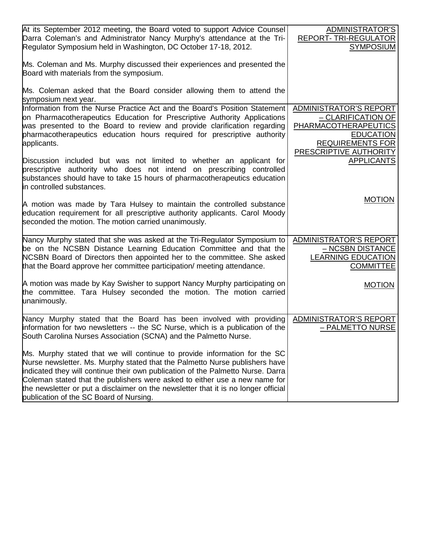| At its September 2012 meeting, the Board voted to support Advice Counsel<br>Darra Coleman's and Administrator Nancy Murphy's attendance at the Tri-<br>Regulator Symposium held in Washington, DC October 17-18, 2012.                                                                                                                                                                                                                                     | ADMINISTRATOR'S<br>REPORT-TRI-REGULATOR<br><b>SYMPOSIUM</b>                                                                                                 |
|------------------------------------------------------------------------------------------------------------------------------------------------------------------------------------------------------------------------------------------------------------------------------------------------------------------------------------------------------------------------------------------------------------------------------------------------------------|-------------------------------------------------------------------------------------------------------------------------------------------------------------|
| Ms. Coleman and Ms. Murphy discussed their experiences and presented the<br>Board with materials from the symposium.                                                                                                                                                                                                                                                                                                                                       |                                                                                                                                                             |
| Ms. Coleman asked that the Board consider allowing them to attend the<br>symposium next year.                                                                                                                                                                                                                                                                                                                                                              |                                                                                                                                                             |
| Information from the Nurse Practice Act and the Board's Position Statement<br>on Pharmacotherapeutics Education for Prescriptive Authority Applications<br>was presented to the Board to review and provide clarification regarding<br>pharmacotherapeutics education hours required for prescriptive authority<br>applicants.                                                                                                                             | <b>ADMINISTRATOR'S REPORT</b><br>- CLARIFICATION OF<br><b>PHARMACOTHERAPEUTICS</b><br><b>EDUCATION</b><br><b>REQUIREMENTS FOR</b><br>PRESCRIPTIVE AUTHORITY |
| Discussion included but was not limited to whether an applicant for<br>prescriptive authority who does not intend on prescribing controlled<br>substances should have to take 15 hours of pharmacotherapeutics education<br>in controlled substances.                                                                                                                                                                                                      | <b>APPLICANTS</b>                                                                                                                                           |
| A motion was made by Tara Hulsey to maintain the controlled substance<br>education requirement for all prescriptive authority applicants. Carol Moody<br>seconded the motion. The motion carried unanimously.                                                                                                                                                                                                                                              | <b>MOTION</b>                                                                                                                                               |
| Nancy Murphy stated that she was asked at the Tri-Regulator Symposium to<br>be on the NCSBN Distance Learning Education Committee and that the<br>NCSBN Board of Directors then appointed her to the committee. She asked<br>that the Board approve her committee participation/ meeting attendance.                                                                                                                                                       | <b>ADMINISTRATOR'S REPORT</b><br>- NCSBN DISTANCE<br><b>LEARNING EDUCATION</b><br><b>COMMITTEE</b>                                                          |
| A motion was made by Kay Swisher to support Nancy Murphy participating on<br>the committee. Tara Hulsey seconded the motion. The motion carried<br>unanimously.                                                                                                                                                                                                                                                                                            | <b>MOTION</b>                                                                                                                                               |
| Nancy Murphy stated that the Board has been involved with providing<br>information for two newsletters -- the SC Nurse, which is a publication of the<br>South Carolina Nurses Association (SCNA) and the Palmetto Nurse.                                                                                                                                                                                                                                  | ADMINISTRATOR'S REPORT<br>- PALMETTO NURSE                                                                                                                  |
| Ms. Murphy stated that we will continue to provide information for the SC<br>Nurse newsletter. Ms. Murphy stated that the Palmetto Nurse publishers have<br>indicated they will continue their own publication of the Palmetto Nurse. Darra<br>Coleman stated that the publishers were asked to either use a new name for<br>the newsletter or put a disclaimer on the newsletter that it is no longer official<br>publication of the SC Board of Nursing. |                                                                                                                                                             |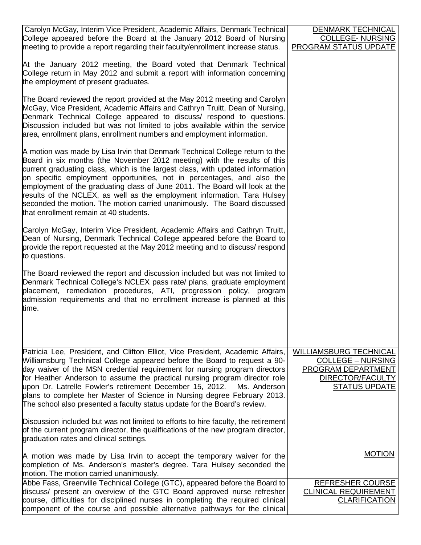| Carolyn McGay, Interim Vice President, Academic Affairs, Denmark Technical                                                                                                                                                                                                                                                                                                                                                                                                                                                                                                                            | <b>DENMARK TECHNICAL</b>                                                                                                    |
|-------------------------------------------------------------------------------------------------------------------------------------------------------------------------------------------------------------------------------------------------------------------------------------------------------------------------------------------------------------------------------------------------------------------------------------------------------------------------------------------------------------------------------------------------------------------------------------------------------|-----------------------------------------------------------------------------------------------------------------------------|
| College appeared before the Board at the January 2012 Board of Nursing                                                                                                                                                                                                                                                                                                                                                                                                                                                                                                                                | <b>COLLEGE- NURSING</b>                                                                                                     |
| meeting to provide a report regarding their faculty/enrollment increase status.                                                                                                                                                                                                                                                                                                                                                                                                                                                                                                                       | <b>PROGRAM STATUS UPDATE</b>                                                                                                |
| At the January 2012 meeting, the Board voted that Denmark Technical<br>College return in May 2012 and submit a report with information concerning<br>the employment of present graduates.                                                                                                                                                                                                                                                                                                                                                                                                             |                                                                                                                             |
| The Board reviewed the report provided at the May 2012 meeting and Carolyn<br>McGay, Vice President, Academic Affairs and Cathryn Truitt, Dean of Nursing,<br>Denmark Technical College appeared to discuss/ respond to questions.<br>Discussion included but was not limited to jobs available within the service<br>area, enrollment plans, enrollment numbers and employment information.                                                                                                                                                                                                          |                                                                                                                             |
| A motion was made by Lisa Irvin that Denmark Technical College return to the<br>Board in six months (the November 2012 meeting) with the results of this<br>current graduating class, which is the largest class, with updated information<br>on specific employment opportunities, not in percentages, and also the<br>employment of the graduating class of June 2011. The Board will look at the<br>results of the NCLEX, as well as the employment information. Tara Hulsey<br>seconded the motion. The motion carried unanimously. The Board discussed<br>that enrollment remain at 40 students. |                                                                                                                             |
| Carolyn McGay, Interim Vice President, Academic Affairs and Cathryn Truitt,<br>Dean of Nursing, Denmark Technical College appeared before the Board to<br>provide the report requested at the May 2012 meeting and to discuss/ respond<br>to questions.                                                                                                                                                                                                                                                                                                                                               |                                                                                                                             |
| The Board reviewed the report and discussion included but was not limited to<br>Denmark Technical College's NCLEX pass rate/ plans, graduate employment<br>placement, remediation procedures, ATI, progression policy, program<br>admission requirements and that no enrollment increase is planned at this<br>time.                                                                                                                                                                                                                                                                                  |                                                                                                                             |
|                                                                                                                                                                                                                                                                                                                                                                                                                                                                                                                                                                                                       |                                                                                                                             |
| Patricia Lee, President, and Clifton Elliot, Vice President, Academic Affairs,<br>Williamsburg Technical College appeared before the Board to request a 90-<br>day waiver of the MSN credential requirement for nursing program directors<br>for Heather Anderson to assume the practical nursing program director role<br>upon Dr. Latrelle Fowler's retirement December 15, 2012.<br>Ms. Anderson<br>plans to complete her Master of Science in Nursing degree February 2013.<br>The school also presented a faculty status update for the Board's review.                                          | <b>WILLIAMSBURG TECHNICAL</b><br><b>COLLEGE - NURSING</b><br>PROGRAM DEPARTMENT<br>DIRECTOR/FACULTY<br><b>STATUS UPDATE</b> |
| Discussion included but was not limited to efforts to hire faculty, the retirement<br>of the current program director, the qualifications of the new program director,<br>graduation rates and clinical settings.                                                                                                                                                                                                                                                                                                                                                                                     |                                                                                                                             |
| A motion was made by Lisa Irvin to accept the temporary waiver for the<br>completion of Ms. Anderson's master's degree. Tara Hulsey seconded the<br>motion. The motion carried unanimously.                                                                                                                                                                                                                                                                                                                                                                                                           | <b>MOTION</b>                                                                                                               |
| Abbe Fass, Greenville Technical College (GTC), appeared before the Board to                                                                                                                                                                                                                                                                                                                                                                                                                                                                                                                           | <b>REFRESHER COURSE</b>                                                                                                     |
| discuss/ present an overview of the GTC Board approved nurse refresher<br>course, difficulties for disciplined nurses in completing the required clinical<br>component of the course and possible alternative pathways for the clinical                                                                                                                                                                                                                                                                                                                                                               | <b>CLINICAL REQUIREMENT</b><br><b>CLARIFICATION</b>                                                                         |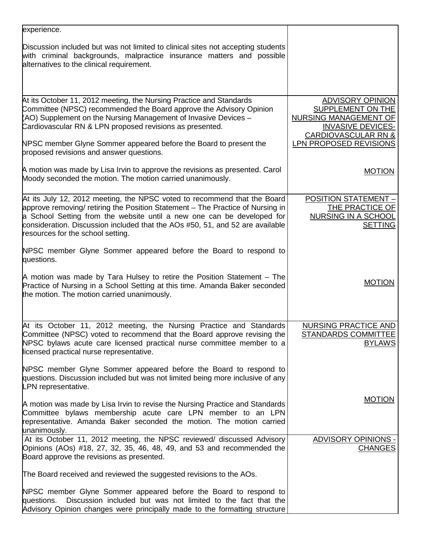| experience.                                                                                                                                                                                                                                                               |                                                                                                                                     |
|---------------------------------------------------------------------------------------------------------------------------------------------------------------------------------------------------------------------------------------------------------------------------|-------------------------------------------------------------------------------------------------------------------------------------|
| Discussion included but was not limited to clinical sites not accepting students<br>with criminal backgrounds, malpractice insurance matters and possible<br>alternatives to the clinical requirement.                                                                    |                                                                                                                                     |
|                                                                                                                                                                                                                                                                           |                                                                                                                                     |
| At its October 11, 2012 meeting, the Nursing Practice and Standards<br>Committee (NPSC) recommended the Board approve the Advisory Opinion<br>(AO) Supplement on the Nursing Management of Invasive Devices -<br>Cardiovascular RN & LPN proposed revisions as presented. | <b>ADVISORY OPINION</b><br>SUPPLEMENT ON THE<br>NURSING MANAGEMENT OF<br><b>INVASIVE DEVICES-</b><br><b>CARDIOVASCULAR RN &amp;</b> |
| NPSC member Glyne Sommer appeared before the Board to present the<br>proposed revisions and answer questions.                                                                                                                                                             | LPN PROPOSED REVISIONS                                                                                                              |
| A motion was made by Lisa Irvin to approve the revisions as presented. Carol<br>Moody seconded the motion. The motion carried unanimously.                                                                                                                                | <b>MOTION</b>                                                                                                                       |
| At its July 12, 2012 meeting, the NPSC voted to recommend that the Board                                                                                                                                                                                                  | <b>POSITION STATEMENT -</b>                                                                                                         |
| approve removing/ retiring the Position Statement – The Practice of Nursing in                                                                                                                                                                                            | THE PRACTICE OF                                                                                                                     |
| a School Setting from the website until a new one can be developed for<br>consideration. Discussion included that the AOs #50, 51, and 52 are available<br>resources for the school setting.                                                                              | <b>NURSING IN A SCHOOL</b><br><b>SETTING</b>                                                                                        |
| NPSC member Glyne Sommer appeared before the Board to respond to<br>questions.                                                                                                                                                                                            |                                                                                                                                     |
| A motion was made by Tara Hulsey to retire the Position Statement – The<br>Practice of Nursing in a School Setting at this time. Amanda Baker seconded<br>the motion. The motion carried unanimously.                                                                     | <b>MOTION</b>                                                                                                                       |
|                                                                                                                                                                                                                                                                           |                                                                                                                                     |
| At its October 11, 2012 meeting, the Nursing Practice and Standards<br>Committee (NPSC) voted to recommend that the Board approve revising the<br>NPSC bylaws acute care licensed practical nurse committee member to a<br>licensed practical nurse representative.       | <b>NURSING PRACTICE AND</b><br><b>STANDARDS COMMITTEE</b><br><b>BYLAWS</b>                                                          |
| NPSC member Glyne Sommer appeared before the Board to respond to<br>questions. Discussion included but was not limited being more inclusive of any<br>LPN representative.                                                                                                 |                                                                                                                                     |
| A motion was made by Lisa Irvin to revise the Nursing Practice and Standards<br>Committee bylaws membership acute care LPN member to an LPN<br>representative. Amanda Baker seconded the motion. The motion carried                                                       | <b>MOTION</b>                                                                                                                       |
| unanimously.<br>At its October 11, 2012 meeting, the NPSC reviewed/ discussed Advisory<br>Opinions (AOs) #18, 27, 32, 35, 46, 48, 49, and 53 and recommended the<br>Board approve the revisions as presented.                                                             | <b>ADVISORY OPINIONS -</b><br><b>CHANGES</b>                                                                                        |
| The Board received and reviewed the suggested revisions to the AOs.                                                                                                                                                                                                       |                                                                                                                                     |
| NPSC member Glyne Sommer appeared before the Board to respond to<br>Discussion included but was not limited to the fact that the<br>questions.<br>Advisory Opinion changes were principally made to the formatting structure                                              |                                                                                                                                     |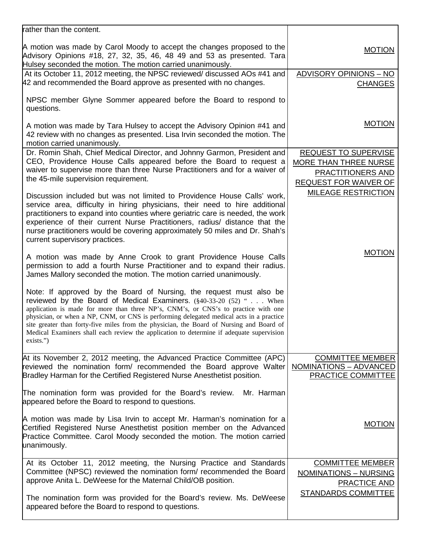| <b>MOTION</b><br>Advisory Opinions #18, 27, 32, 35, 46, 48 49 and 53 as presented. Tara<br>Hulsey seconded the motion. The motion carried unanimously.<br>ADVISORY OPINIONS - NO<br>At its October 11, 2012 meeting, the NPSC reviewed/ discussed AOs #41 and<br>42 and recommended the Board approve as presented with no changes.<br><b>CHANGES</b><br>NPSC member Glyne Sommer appeared before the Board to respond to<br>questions.<br><b>MOTION</b><br>A motion was made by Tara Hulsey to accept the Advisory Opinion #41 and<br>42 review with no changes as presented. Lisa Irvin seconded the motion. The<br>motion carried unanimously.<br>REQUEST TO SUPERVISE<br>Dr. Romin Shah, Chief Medical Director, and Johnny Garmon, President and<br>CEO, Providence House Calls appeared before the Board to request a<br>MORE THAN THREE NURSE<br>waiver to supervise more than three Nurse Practitioners and for a waiver of<br>PRACTITIONERS AND<br>the 45-mile supervision requirement.<br><b>REQUEST FOR WAIVER OF</b><br><b>MILEAGE RESTRICTION</b><br>Discussion included but was not limited to Providence House Calls' work,<br>service area, difficulty in hiring physicians, their need to hire additional<br>practitioners to expand into counties where geriatric care is needed, the work<br>experience of their current Nurse Practitioners, radius/ distance that the<br>nurse practitioners would be covering approximately 50 miles and Dr. Shah's<br>current supervisory practices.<br><b>MOTION</b><br>A motion was made by Anne Crook to grant Providence House Calls<br>permission to add a fourth Nurse Practitioner and to expand their radius.<br>James Mallory seconded the motion. The motion carried unanimously.<br>Note: If approved by the Board of Nursing, the request must also be<br>reviewed by the Board of Medical Examiners. $(\frac{6}{40} - 33 - 20)$ (52) " When<br>application is made for more than three NP's, CNM's, or CNS's to practice with one<br>physician, or when a NP, CNM, or CNS is performing delegated medical acts in a practice<br>site greater than forty-five miles from the physician, the Board of Nursing and Board of<br>Medical Examiners shall each review the application to determine if adequate supervision<br>exists.")<br>At its November 2, 2012 meeting, the Advanced Practice Committee (APC)<br><b>COMMITTEE MEMBER</b><br>reviewed the nomination form/ recommended the Board approve Walter<br>NOMINATIONS - ADVANCED<br>Bradley Harman for the Certified Registered Nurse Anesthetist position.<br><b>PRACTICE COMMITTEE</b><br>The nomination form was provided for the Board's review.<br>Mr. Harman<br>appeared before the Board to respond to questions.<br>A motion was made by Lisa Irvin to accept Mr. Harman's nomination for a<br><b>MOTION</b><br>Certified Registered Nurse Anesthetist position member on the Advanced<br>Practice Committee. Carol Moody seconded the motion. The motion carried<br>unanimously.<br>At its October 11, 2012 meeting, the Nursing Practice and Standards<br><b>COMMITTEE MEMBER</b><br>Committee (NPSC) reviewed the nomination form/ recommended the Board<br><b>NOMINATIONS - NURSING</b><br>approve Anita L. DeWeese for the Maternal Child/OB position.<br>PRACTICE AND<br><b>STANDARDS COMMITTEE</b><br>The nomination form was provided for the Board's review. Ms. DeWeese<br>appeared before the Board to respond to questions. | rather than the content.                                               |  |
|---------------------------------------------------------------------------------------------------------------------------------------------------------------------------------------------------------------------------------------------------------------------------------------------------------------------------------------------------------------------------------------------------------------------------------------------------------------------------------------------------------------------------------------------------------------------------------------------------------------------------------------------------------------------------------------------------------------------------------------------------------------------------------------------------------------------------------------------------------------------------------------------------------------------------------------------------------------------------------------------------------------------------------------------------------------------------------------------------------------------------------------------------------------------------------------------------------------------------------------------------------------------------------------------------------------------------------------------------------------------------------------------------------------------------------------------------------------------------------------------------------------------------------------------------------------------------------------------------------------------------------------------------------------------------------------------------------------------------------------------------------------------------------------------------------------------------------------------------------------------------------------------------------------------------------------------------------------------------------------------------------------------------------------------------------------------------------------------------------------------------------------------------------------------------------------------------------------------------------------------------------------------------------------------------------------------------------------------------------------------------------------------------------------------------------------------------------------------------------------------------------------------------------------------------------------------------------------------------------------------------------------------------------------------------------------------------------------------------------------------------------------------------------------------------------------------------------------------------------------------------------------------------------------------------------------------------------------------------------------------------------------------------------------------------------------------------------------------------------------------------------------------------------------------------------------------------------------------------------------------------------------------------------------------------------------------------------------------------------------------------------------------------------------------------------------------------------------------------|------------------------------------------------------------------------|--|
|                                                                                                                                                                                                                                                                                                                                                                                                                                                                                                                                                                                                                                                                                                                                                                                                                                                                                                                                                                                                                                                                                                                                                                                                                                                                                                                                                                                                                                                                                                                                                                                                                                                                                                                                                                                                                                                                                                                                                                                                                                                                                                                                                                                                                                                                                                                                                                                                                                                                                                                                                                                                                                                                                                                                                                                                                                                                                                                                                                                                                                                                                                                                                                                                                                                                                                                                                                                                                                                                           | A motion was made by Carol Moody to accept the changes proposed to the |  |
|                                                                                                                                                                                                                                                                                                                                                                                                                                                                                                                                                                                                                                                                                                                                                                                                                                                                                                                                                                                                                                                                                                                                                                                                                                                                                                                                                                                                                                                                                                                                                                                                                                                                                                                                                                                                                                                                                                                                                                                                                                                                                                                                                                                                                                                                                                                                                                                                                                                                                                                                                                                                                                                                                                                                                                                                                                                                                                                                                                                                                                                                                                                                                                                                                                                                                                                                                                                                                                                                           |                                                                        |  |
|                                                                                                                                                                                                                                                                                                                                                                                                                                                                                                                                                                                                                                                                                                                                                                                                                                                                                                                                                                                                                                                                                                                                                                                                                                                                                                                                                                                                                                                                                                                                                                                                                                                                                                                                                                                                                                                                                                                                                                                                                                                                                                                                                                                                                                                                                                                                                                                                                                                                                                                                                                                                                                                                                                                                                                                                                                                                                                                                                                                                                                                                                                                                                                                                                                                                                                                                                                                                                                                                           |                                                                        |  |
|                                                                                                                                                                                                                                                                                                                                                                                                                                                                                                                                                                                                                                                                                                                                                                                                                                                                                                                                                                                                                                                                                                                                                                                                                                                                                                                                                                                                                                                                                                                                                                                                                                                                                                                                                                                                                                                                                                                                                                                                                                                                                                                                                                                                                                                                                                                                                                                                                                                                                                                                                                                                                                                                                                                                                                                                                                                                                                                                                                                                                                                                                                                                                                                                                                                                                                                                                                                                                                                                           |                                                                        |  |
|                                                                                                                                                                                                                                                                                                                                                                                                                                                                                                                                                                                                                                                                                                                                                                                                                                                                                                                                                                                                                                                                                                                                                                                                                                                                                                                                                                                                                                                                                                                                                                                                                                                                                                                                                                                                                                                                                                                                                                                                                                                                                                                                                                                                                                                                                                                                                                                                                                                                                                                                                                                                                                                                                                                                                                                                                                                                                                                                                                                                                                                                                                                                                                                                                                                                                                                                                                                                                                                                           |                                                                        |  |
|                                                                                                                                                                                                                                                                                                                                                                                                                                                                                                                                                                                                                                                                                                                                                                                                                                                                                                                                                                                                                                                                                                                                                                                                                                                                                                                                                                                                                                                                                                                                                                                                                                                                                                                                                                                                                                                                                                                                                                                                                                                                                                                                                                                                                                                                                                                                                                                                                                                                                                                                                                                                                                                                                                                                                                                                                                                                                                                                                                                                                                                                                                                                                                                                                                                                                                                                                                                                                                                                           |                                                                        |  |
|                                                                                                                                                                                                                                                                                                                                                                                                                                                                                                                                                                                                                                                                                                                                                                                                                                                                                                                                                                                                                                                                                                                                                                                                                                                                                                                                                                                                                                                                                                                                                                                                                                                                                                                                                                                                                                                                                                                                                                                                                                                                                                                                                                                                                                                                                                                                                                                                                                                                                                                                                                                                                                                                                                                                                                                                                                                                                                                                                                                                                                                                                                                                                                                                                                                                                                                                                                                                                                                                           |                                                                        |  |
|                                                                                                                                                                                                                                                                                                                                                                                                                                                                                                                                                                                                                                                                                                                                                                                                                                                                                                                                                                                                                                                                                                                                                                                                                                                                                                                                                                                                                                                                                                                                                                                                                                                                                                                                                                                                                                                                                                                                                                                                                                                                                                                                                                                                                                                                                                                                                                                                                                                                                                                                                                                                                                                                                                                                                                                                                                                                                                                                                                                                                                                                                                                                                                                                                                                                                                                                                                                                                                                                           |                                                                        |  |
|                                                                                                                                                                                                                                                                                                                                                                                                                                                                                                                                                                                                                                                                                                                                                                                                                                                                                                                                                                                                                                                                                                                                                                                                                                                                                                                                                                                                                                                                                                                                                                                                                                                                                                                                                                                                                                                                                                                                                                                                                                                                                                                                                                                                                                                                                                                                                                                                                                                                                                                                                                                                                                                                                                                                                                                                                                                                                                                                                                                                                                                                                                                                                                                                                                                                                                                                                                                                                                                                           |                                                                        |  |
|                                                                                                                                                                                                                                                                                                                                                                                                                                                                                                                                                                                                                                                                                                                                                                                                                                                                                                                                                                                                                                                                                                                                                                                                                                                                                                                                                                                                                                                                                                                                                                                                                                                                                                                                                                                                                                                                                                                                                                                                                                                                                                                                                                                                                                                                                                                                                                                                                                                                                                                                                                                                                                                                                                                                                                                                                                                                                                                                                                                                                                                                                                                                                                                                                                                                                                                                                                                                                                                                           |                                                                        |  |
|                                                                                                                                                                                                                                                                                                                                                                                                                                                                                                                                                                                                                                                                                                                                                                                                                                                                                                                                                                                                                                                                                                                                                                                                                                                                                                                                                                                                                                                                                                                                                                                                                                                                                                                                                                                                                                                                                                                                                                                                                                                                                                                                                                                                                                                                                                                                                                                                                                                                                                                                                                                                                                                                                                                                                                                                                                                                                                                                                                                                                                                                                                                                                                                                                                                                                                                                                                                                                                                                           |                                                                        |  |
|                                                                                                                                                                                                                                                                                                                                                                                                                                                                                                                                                                                                                                                                                                                                                                                                                                                                                                                                                                                                                                                                                                                                                                                                                                                                                                                                                                                                                                                                                                                                                                                                                                                                                                                                                                                                                                                                                                                                                                                                                                                                                                                                                                                                                                                                                                                                                                                                                                                                                                                                                                                                                                                                                                                                                                                                                                                                                                                                                                                                                                                                                                                                                                                                                                                                                                                                                                                                                                                                           |                                                                        |  |
|                                                                                                                                                                                                                                                                                                                                                                                                                                                                                                                                                                                                                                                                                                                                                                                                                                                                                                                                                                                                                                                                                                                                                                                                                                                                                                                                                                                                                                                                                                                                                                                                                                                                                                                                                                                                                                                                                                                                                                                                                                                                                                                                                                                                                                                                                                                                                                                                                                                                                                                                                                                                                                                                                                                                                                                                                                                                                                                                                                                                                                                                                                                                                                                                                                                                                                                                                                                                                                                                           |                                                                        |  |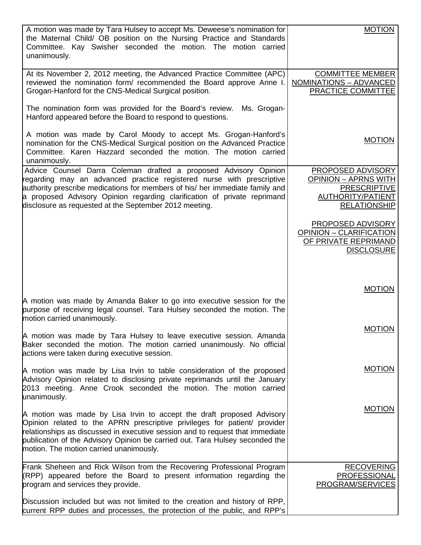| A motion was made by Tara Hulsey to accept Ms. Deweese's nomination for<br>the Maternal Child/ OB position on the Nursing Practice and Standards<br>Committee. Kay Swisher seconded the motion. The motion carried<br>unanimously.                                                                                                                              | <b>MOTION</b>                                                                                                       |
|-----------------------------------------------------------------------------------------------------------------------------------------------------------------------------------------------------------------------------------------------------------------------------------------------------------------------------------------------------------------|---------------------------------------------------------------------------------------------------------------------|
| At its November 2, 2012 meeting, the Advanced Practice Committee (APC)<br>reviewed the nomination form/ recommended the Board approve Anne I.<br>Grogan-Hanford for the CNS-Medical Surgical position.                                                                                                                                                          | <b>COMMITTEE MEMBER</b><br><b>NOMINATIONS - ADVANCED</b><br>PRACTICE COMMITTEE                                      |
| The nomination form was provided for the Board's review.<br>Ms. Grogan-<br>Hanford appeared before the Board to respond to questions.                                                                                                                                                                                                                           |                                                                                                                     |
| A motion was made by Carol Moody to accept Ms. Grogan-Hanford's<br>nomination for the CNS-Medical Surgical position on the Advanced Practice<br>Committee. Karen Hazzard seconded the motion. The motion carried<br>unanimously.                                                                                                                                | <b>MOTION</b>                                                                                                       |
| Advice Counsel Darra Coleman drafted a proposed Advisory Opinion<br>regarding may an advanced practice registered nurse with prescriptive<br>authority prescribe medications for members of his/ her immediate family and<br>a proposed Advisory Opinion regarding clarification of private reprimand<br>disclosure as requested at the September 2012 meeting. | PROPOSED ADVISORY<br><b>OPINION - APRNS WITH</b><br><b>PRESCRIPTIVE</b><br>AUTHORITY/PATIENT<br><b>RELATIONSHIP</b> |
|                                                                                                                                                                                                                                                                                                                                                                 | PROPOSED ADVISORY<br><b>OPINION - CLARIFICATION</b><br>OF PRIVATE REPRIMAND<br><b>DISCLOSURE</b>                    |
| A motion was made by Amanda Baker to go into executive session for the<br>purpose of receiving legal counsel. Tara Hulsey seconded the motion. The                                                                                                                                                                                                              | <b>MOTION</b>                                                                                                       |
| motion carried unanimously.                                                                                                                                                                                                                                                                                                                                     | <b>MOTION</b>                                                                                                       |
| A motion was made by Tara Hulsey to leave executive session. Amanda<br>Baker seconded the motion. The motion carried unanimously. No official<br>actions were taken during executive session.                                                                                                                                                                   |                                                                                                                     |
| A motion was made by Lisa Irvin to table consideration of the proposed<br>Advisory Opinion related to disclosing private reprimands until the January<br>2013 meeting. Anne Crook seconded the motion. The motion carried<br>unanimously.                                                                                                                       | <b>MOTION</b>                                                                                                       |
| A motion was made by Lisa Irvin to accept the draft proposed Advisory<br>Opinion related to the APRN prescriptive privileges for patient/ provider<br>relationships as discussed in executive session and to request that immediate<br>publication of the Advisory Opinion be carried out. Tara Hulsey seconded the<br>motion. The motion carried unanimously.  | <b>MOTION</b>                                                                                                       |
| Frank Sheheen and Rick Wilson from the Recovering Professional Program<br>(RPP) appeared before the Board to present information regarding the<br>program and services they provide.                                                                                                                                                                            | <b>RECOVERING</b><br>PROFESSIONAL<br>PROGRAM/SERVICES                                                               |
| Discussion included but was not limited to the creation and history of RPP,<br>current RPP duties and processes, the protection of the public, and RPP's                                                                                                                                                                                                        |                                                                                                                     |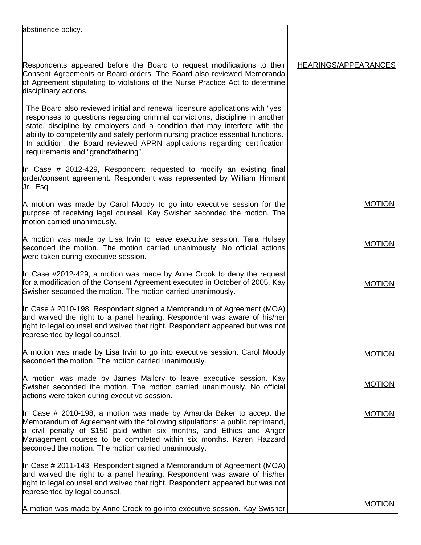| abstinence policy.                                                                                                                                                                                                                                                                                                                                                                                                                                |                      |
|---------------------------------------------------------------------------------------------------------------------------------------------------------------------------------------------------------------------------------------------------------------------------------------------------------------------------------------------------------------------------------------------------------------------------------------------------|----------------------|
| Respondents appeared before the Board to request modifications to their<br>Consent Agreements or Board orders. The Board also reviewed Memoranda<br>of Agreement stipulating to violations of the Nurse Practice Act to determine<br>disciplinary actions.                                                                                                                                                                                        | HEARINGS/APPEARANCES |
| The Board also reviewed initial and renewal licensure applications with "yes"<br>responses to questions regarding criminal convictions, discipline in another<br>state, discipline by employers and a condition that may interfere with the<br>ability to competently and safely perform nursing practice essential functions.<br>In addition, the Board reviewed APRN applications regarding certification<br>requirements and "grandfathering". |                      |
| In Case # 2012-429, Respondent requested to modify an existing final<br>order/consent agreement. Respondent was represented by William Hinnant<br>Ur., Esq.                                                                                                                                                                                                                                                                                       |                      |
| A motion was made by Carol Moody to go into executive session for the<br>purpose of receiving legal counsel. Kay Swisher seconded the motion. The<br>motion carried unanimously.                                                                                                                                                                                                                                                                  | <b>MOTION</b>        |
| A motion was made by Lisa Irvin to leave executive session. Tara Hulsey<br>seconded the motion. The motion carried unanimously. No official actions<br>were taken during executive session.                                                                                                                                                                                                                                                       | <b>MOTION</b>        |
| In Case #2012-429, a motion was made by Anne Crook to deny the request<br>for a modification of the Consent Agreement executed in October of 2005. Kay<br>Swisher seconded the motion. The motion carried unanimously.                                                                                                                                                                                                                            | <b>MOTION</b>        |
| In Case # 2010-198, Respondent signed a Memorandum of Agreement (MOA)<br>and waived the right to a panel hearing. Respondent was aware of his/her<br>right to legal counsel and waived that right. Respondent appeared but was not<br>represented by legal counsel.                                                                                                                                                                               |                      |
| A motion was made by Lisa Irvin to go into executive session. Carol Moody<br>seconded the motion. The motion carried unanimously.                                                                                                                                                                                                                                                                                                                 | <b>MOTION</b>        |
| A motion was made by James Mallory to leave executive session. Kay<br>Swisher seconded the motion. The motion carried unanimously. No official<br>actions were taken during executive session.                                                                                                                                                                                                                                                    | <b>MOTION</b>        |
| In Case # 2010-198, a motion was made by Amanda Baker to accept the<br>Memorandum of Agreement with the following stipulations: a public reprimand,<br>a civil penalty of \$150 paid within six months, and Ethics and Anger<br>Management courses to be completed within six months. Karen Hazzard<br>seconded the motion. The motion carried unanimously.                                                                                       | <b>MOTION</b>        |
| In Case # 2011-143, Respondent signed a Memorandum of Agreement (MOA)<br>and waived the right to a panel hearing. Respondent was aware of his/her<br>right to legal counsel and waived that right. Respondent appeared but was not<br>represented by legal counsel.                                                                                                                                                                               |                      |
| A motion was made by Anne Crook to go into executive session. Kay Swisher                                                                                                                                                                                                                                                                                                                                                                         | <b>MOTION</b>        |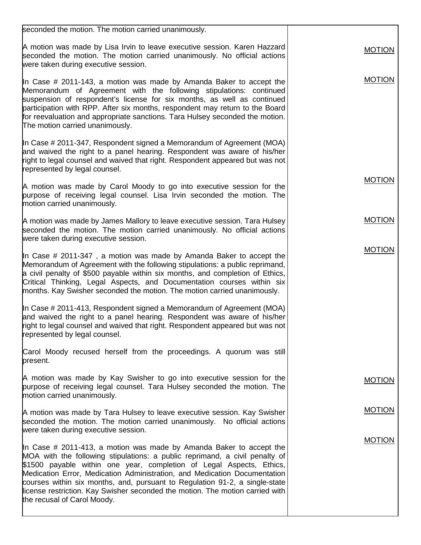| <b>MOTION</b> |
|---------------|
| <b>MOTION</b> |
|               |
| <b>MOTION</b> |
| <b>MOTION</b> |
| <b>MOTION</b> |
|               |
|               |
| <b>MOTION</b> |
| <b>MOTION</b> |
| <b>MOTION</b> |
|               |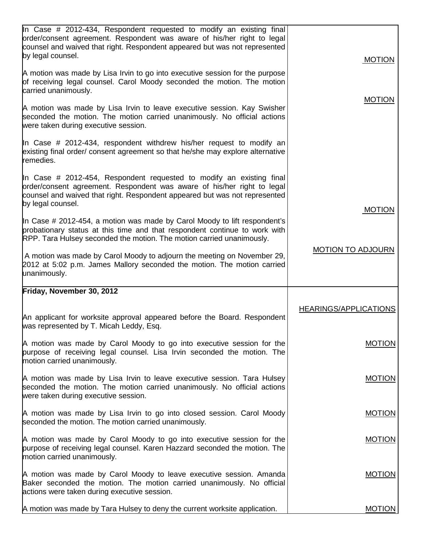| In Case # 2012-434, Respondent requested to modify an existing final<br>order/consent agreement. Respondent was aware of his/her right to legal<br>counsel and waived that right. Respondent appeared but was not represented<br>by legal counsel. | <b>MOTION</b>                |
|----------------------------------------------------------------------------------------------------------------------------------------------------------------------------------------------------------------------------------------------------|------------------------------|
| A motion was made by Lisa Irvin to go into executive session for the purpose<br>of receiving legal counsel. Carol Moody seconded the motion. The motion<br>carried unanimously.                                                                    |                              |
| A motion was made by Lisa Irvin to leave executive session. Kay Swisher<br>seconded the motion. The motion carried unanimously. No official actions<br>were taken during executive session.                                                        | <b>MOTION</b>                |
| In Case # 2012-434, respondent withdrew his/her request to modify an<br>existing final order/ consent agreement so that he/she may explore alternative<br>remedies.                                                                                |                              |
| In Case # 2012-454, Respondent requested to modify an existing final<br>order/consent agreement. Respondent was aware of his/her right to legal<br>counsel and waived that right. Respondent appeared but was not represented<br>by legal counsel. |                              |
| In Case # 2012-454, a motion was made by Carol Moody to lift respondent's<br>probationary status at this time and that respondent continue to work with<br>RPP. Tara Hulsey seconded the motion. The motion carried unanimously.                   | <b>MOTION</b>                |
| A motion was made by Carol Moody to adjourn the meeting on November 29,<br>2012 at 5:02 p.m. James Mallory seconded the motion. The motion carried<br>unanimously.                                                                                 | <b>MOTION TO ADJOURN</b>     |
| Friday, November 30, 2012                                                                                                                                                                                                                          |                              |
|                                                                                                                                                                                                                                                    | <b>HEARINGS/APPLICATIONS</b> |
| An applicant for worksite approval appeared before the Board. Respondent<br>was represented by T. Micah Leddy, Esq.                                                                                                                                |                              |
| A motion was made by Carol Moody to go into executive session for the<br>purpose of receiving legal counsel. Lisa Irvin seconded the motion. The<br>motion carried unanimously.                                                                    | <b>MOTION</b>                |
| A motion was made by Lisa Irvin to leave executive session. Tara Hulsey<br>seconded the motion. The motion carried unanimously. No official actions<br>were taken during executive session.                                                        | <b>MOTION</b>                |
| A motion was made by Lisa Irvin to go into closed session. Carol Moody<br>seconded the motion. The motion carried unanimously.                                                                                                                     | <b>MOTION</b>                |
| A motion was made by Carol Moody to go into executive session for the<br>purpose of receiving legal counsel. Karen Hazzard seconded the motion. The<br>motion carried unanimously.                                                                 | <b>MOTION</b>                |
| A motion was made by Carol Moody to leave executive session. Amanda<br>Baker seconded the motion. The motion carried unanimously. No official<br>actions were taken during executive session.                                                      | <b>MOTION</b>                |
| A motion was made by Tara Hulsey to deny the current worksite application.                                                                                                                                                                         | <b>MOTION</b>                |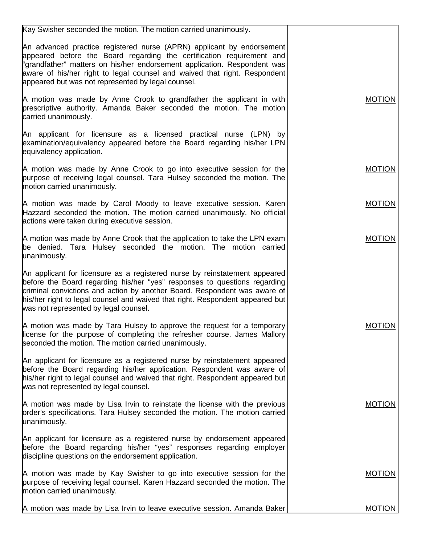| Kay Swisher seconded the motion. The motion carried unanimously.                                                                                                                                                                                                                                                                                               |               |
|----------------------------------------------------------------------------------------------------------------------------------------------------------------------------------------------------------------------------------------------------------------------------------------------------------------------------------------------------------------|---------------|
| An advanced practice registered nurse (APRN) applicant by endorsement<br>appeared before the Board regarding the certification requirement and<br>"grandfather" matters on his/her endorsement application. Respondent was<br>aware of his/her right to legal counsel and waived that right. Respondent<br>appeared but was not represented by legal counsel.  |               |
| A motion was made by Anne Crook to grandfather the applicant in with<br>prescriptive authority. Amanda Baker seconded the motion. The motion<br>carried unanimously.                                                                                                                                                                                           | <b>MOTION</b> |
| An applicant for licensure as a licensed practical nurse (LPN) by<br>examination/equivalency appeared before the Board regarding his/her LPN<br>equivalency application.                                                                                                                                                                                       |               |
| A motion was made by Anne Crook to go into executive session for the<br>purpose of receiving legal counsel. Tara Hulsey seconded the motion. The<br>motion carried unanimously.                                                                                                                                                                                | <b>MOTION</b> |
| A motion was made by Carol Moody to leave executive session. Karen<br>Hazzard seconded the motion. The motion carried unanimously. No official<br>actions were taken during executive session.                                                                                                                                                                 | <b>MOTION</b> |
| A motion was made by Anne Crook that the application to take the LPN exam<br>be denied. Tara Hulsey seconded the motion. The motion carried<br>unanimously.                                                                                                                                                                                                    | <b>MOTION</b> |
| An applicant for licensure as a registered nurse by reinstatement appeared<br>before the Board regarding his/her "yes" responses to questions regarding<br>criminal convictions and action by another Board. Respondent was aware of<br>his/her right to legal counsel and waived that right. Respondent appeared but<br>was not represented by legal counsel. |               |
| A motion was made by Tara Hulsey to approve the request for a temporary<br>license for the purpose of completing the refresher course. James Mallory<br>seconded the motion. The motion carried unanimously.                                                                                                                                                   | <b>MOTION</b> |
| An applicant for licensure as a registered nurse by reinstatement appeared<br>before the Board regarding his/her application. Respondent was aware of<br>his/her right to legal counsel and waived that right. Respondent appeared but<br>was not represented by legal counsel.                                                                                |               |
| A motion was made by Lisa Irvin to reinstate the license with the previous<br>order's specifications. Tara Hulsey seconded the motion. The motion carried<br>unanimously.                                                                                                                                                                                      | <b>MOTION</b> |
| An applicant for licensure as a registered nurse by endorsement appeared<br>before the Board regarding his/her "yes" responses regarding employer<br>discipline questions on the endorsement application.                                                                                                                                                      |               |
| A motion was made by Kay Swisher to go into executive session for the<br>purpose of receiving legal counsel. Karen Hazzard seconded the motion. The<br>motion carried unanimously.                                                                                                                                                                             | <b>MOTION</b> |
| A motion was made by Lisa Irvin to leave executive session. Amanda Baker                                                                                                                                                                                                                                                                                       | <b>MOTION</b> |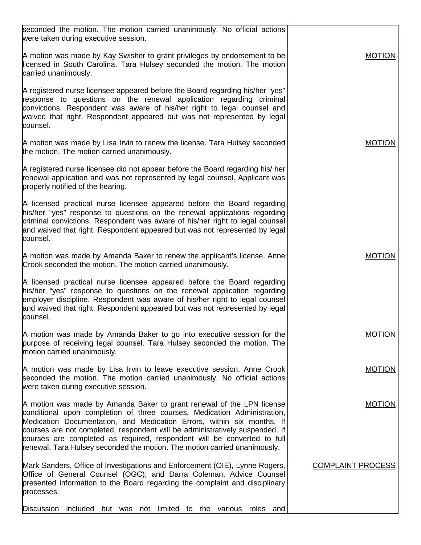| seconded the motion. The motion carried unanimously. No official actions<br>were taken during executive session.                                                                                                                                                                                                                                                                                                                                                    |                          |
|---------------------------------------------------------------------------------------------------------------------------------------------------------------------------------------------------------------------------------------------------------------------------------------------------------------------------------------------------------------------------------------------------------------------------------------------------------------------|--------------------------|
| A motion was made by Kay Swisher to grant privileges by endorsement to be<br>licensed in South Carolina. Tara Hulsey seconded the motion. The motion<br>carried unanimously.                                                                                                                                                                                                                                                                                        | <b>MOTION</b>            |
| A registered nurse licensee appeared before the Board regarding his/her "yes"<br>response to questions on the renewal application regarding criminal<br>convictions. Respondent was aware of his/her right to legal counsel and<br>waived that right. Respondent appeared but was not represented by legal<br>counsel.                                                                                                                                              |                          |
| A motion was made by Lisa Irvin to renew the license. Tara Hulsey seconded<br>the motion. The motion carried unanimously.                                                                                                                                                                                                                                                                                                                                           | <b>MOTION</b>            |
| A registered nurse licensee did not appear before the Board regarding his/ her<br>renewal application and was not represented by legal counsel. Applicant was<br>properly notified of the hearing.                                                                                                                                                                                                                                                                  |                          |
| A licensed practical nurse licensee appeared before the Board regarding<br>his/her "yes" response to questions on the renewal applications regarding<br>criminal convictions. Respondent was aware of his/her right to legal counsel<br>and waived that right. Respondent appeared but was not represented by legal<br>counsel.                                                                                                                                     |                          |
| A motion was made by Amanda Baker to renew the applicant's license. Anne<br>Crook seconded the motion. The motion carried unanimously.                                                                                                                                                                                                                                                                                                                              | <b>MOTION</b>            |
| A licensed practical nurse licensee appeared before the Board regarding<br>his/her "yes" response to questions on the renewal application regarding<br>employer discipline. Respondent was aware of his/her right to legal counsel<br>and waived that right. Respondent appeared but was not represented by legal<br>counsel.                                                                                                                                       |                          |
| A motion was made by Amanda Baker to go into executive session for the<br>purpose of receiving legal counsel. Tara Hulsey seconded the motion. The<br>motion carried unanimously.                                                                                                                                                                                                                                                                                   | <b>MOTION</b>            |
| A motion was made by Lisa Irvin to leave executive session. Anne Crook<br>seconded the motion. The motion carried unanimously. No official actions<br>were taken during executive session.                                                                                                                                                                                                                                                                          | <b>MOTION</b>            |
| A motion was made by Amanda Baker to grant renewal of the LPN license<br>conditional upon completion of three courses, Medication Administration,<br>Medication Documentation, and Medication Errors, within six months. If<br>courses are not completed, respondent will be administratively suspended. If<br>courses are completed as required, respondent will be converted to full<br>renewal. Tara Hulsey seconded the motion. The motion carried unanimously. | <b>MOTION</b>            |
| Mark Sanders, Office of Investigations and Enforcement (OIE), Lynne Rogers,<br>Office of General Counsel (OGC), and Darra Coleman, Advice Counsel<br>presented information to the Board regarding the complaint and disciplinary<br>processes.                                                                                                                                                                                                                      | <b>COMPLAINT PROCESS</b> |
| Discussion<br>included<br>but was not limited to the various roles and                                                                                                                                                                                                                                                                                                                                                                                              |                          |